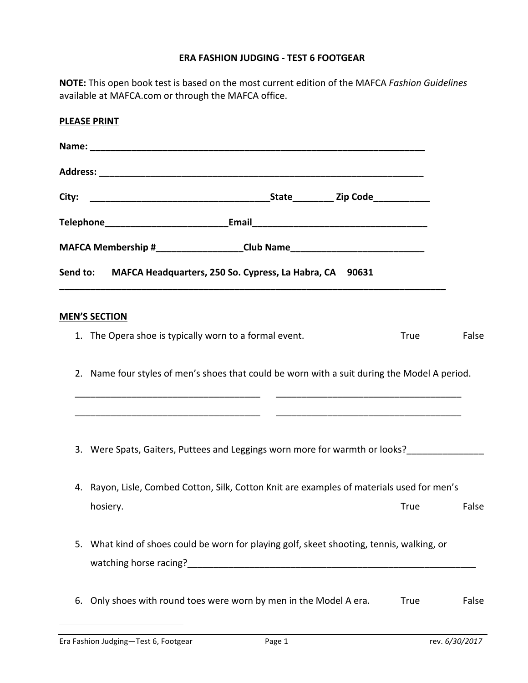## **ERA FASHION JUDGING - TEST 6 FOOTGEAR**

NOTE: This open book test is based on the most current edition of the MAFCA *Fashion Guidelines* available at MAFCA.com or through the MAFCA office.

|    | <b>PLEASE PRINT</b>                                                                          |             |       |  |  |  |
|----|----------------------------------------------------------------------------------------------|-------------|-------|--|--|--|
|    |                                                                                              |             |       |  |  |  |
|    |                                                                                              |             |       |  |  |  |
|    |                                                                                              |             |       |  |  |  |
|    |                                                                                              |             |       |  |  |  |
|    | MAFCA Membership #___________________Club Name__________________________________             |             |       |  |  |  |
|    | Send to: MAFCA Headquarters, 250 So. Cypress, La Habra, CA 90631                             |             |       |  |  |  |
|    | <b>MEN'S SECTION</b>                                                                         |             |       |  |  |  |
|    | 1. The Opera shoe is typically worn to a formal event.                                       | True        | False |  |  |  |
|    | 2. Name four styles of men's shoes that could be worn with a suit during the Model A period. |             |       |  |  |  |
|    | 3. Were Spats, Gaiters, Puttees and Leggings worn more for warmth or looks?                  |             |       |  |  |  |
|    | 4. Rayon, Lisle, Combed Cotton, Silk, Cotton Knit are examples of materials used for men's   |             |       |  |  |  |
|    | hosiery.                                                                                     | <b>True</b> | False |  |  |  |
| 5. | What kind of shoes could be worn for playing golf, skeet shooting, tennis, walking, or       |             |       |  |  |  |
| 6. | Only shoes with round toes were worn by men in the Model A era.                              | <b>True</b> | False |  |  |  |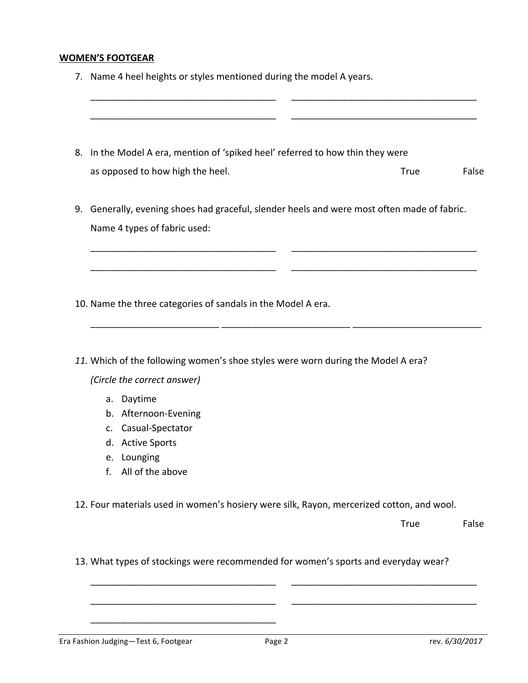## **WOMEN'S FOOTGEAR**

|  |  | 7. Name 4 heel heights or styles mentioned during the model A years. |  |  |  |
|--|--|----------------------------------------------------------------------|--|--|--|
|--|--|----------------------------------------------------------------------|--|--|--|

8. In the Model A era, mention of 'spiked heel' referred to how thin they were as opposed to how high the heel. True False

\_\_\_\_\_\_\_\_\_\_\_\_\_\_\_\_\_\_\_\_\_\_\_\_\_\_\_\_\_\_\_\_\_\_\_\_ \_\_\_\_\_\_\_\_\_\_\_\_\_\_\_\_\_\_\_\_\_\_\_\_\_\_\_\_\_\_\_\_\_\_\_\_

\_\_\_\_\_\_\_\_\_\_\_\_\_\_\_\_\_\_\_\_\_\_\_\_\_\_\_\_\_\_\_\_\_\_\_\_ \_\_\_\_\_\_\_\_\_\_\_\_\_\_\_\_\_\_\_\_\_\_\_\_\_\_\_\_\_\_\_\_\_\_\_\_

9. Generally, evening shoes had graceful, slender heels and were most often made of fabric. Name 4 types of fabric used:

\_\_\_\_\_\_\_\_\_\_\_\_\_\_\_\_\_\_\_\_\_\_\_\_\_\_\_\_\_\_\_\_\_\_\_\_ \_\_\_\_\_\_\_\_\_\_\_\_\_\_\_\_\_\_\_\_\_\_\_\_\_\_\_\_\_\_\_\_\_\_\_\_

\_\_\_\_\_\_\_\_\_\_\_\_\_\_\_\_\_\_\_\_\_\_\_\_\_\_\_\_\_\_\_\_\_\_\_\_ \_\_\_\_\_\_\_\_\_\_\_\_\_\_\_\_\_\_\_\_\_\_\_\_\_\_\_\_\_\_\_\_\_\_\_\_

\_\_\_\_\_\_\_\_\_\_\_\_\_\_\_\_\_\_\_\_\_\_\_\_\_ \_\_\_\_\_\_\_\_\_\_\_\_\_\_\_\_\_\_\_\_\_\_\_\_\_ \_\_\_\_\_\_\_\_\_\_\_\_\_\_\_\_\_\_\_\_\_\_\_\_\_

- 10. Name the three categories of sandals in the Model A era.
- 11. Which of the following women's shoe styles were worn during the Model A era? *(Circle the correct answer)*
	- a. Daytime
	- b. Afternoon-Evening
	- c. Casual-Spectator
	- d. Active Sports
	- e. Lounging
	- f. All of the above

12. Four materials used in women's hosiery were silk, Rayon, mercerized cotton, and wool.

True False

13. What types of stockings were recommended for women's sports and everyday wear?

\_\_\_\_\_\_\_\_\_\_\_\_\_\_\_\_\_\_\_\_\_\_\_\_\_\_\_\_\_\_\_\_\_\_\_\_

\_\_\_\_\_\_\_\_\_\_\_\_\_\_\_\_\_\_\_\_\_\_\_\_\_\_\_\_\_\_\_\_\_\_\_\_ \_\_\_\_\_\_\_\_\_\_\_\_\_\_\_\_\_\_\_\_\_\_\_\_\_\_\_\_\_\_\_\_\_\_\_\_

\_\_\_\_\_\_\_\_\_\_\_\_\_\_\_\_\_\_\_\_\_\_\_\_\_\_\_\_\_\_\_\_\_\_\_\_ \_\_\_\_\_\_\_\_\_\_\_\_\_\_\_\_\_\_\_\_\_\_\_\_\_\_\_\_\_\_\_\_\_\_\_\_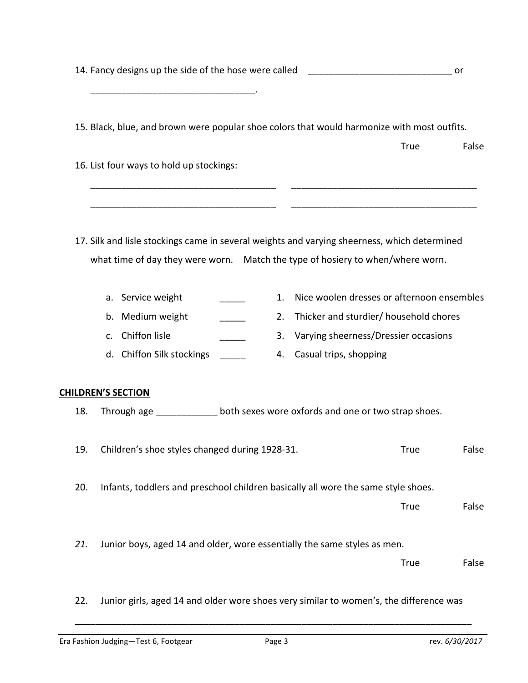|     | 14. Fancy designs up the side of the hose were called |                                                                                              |  |    | or                                         |             |       |
|-----|-------------------------------------------------------|----------------------------------------------------------------------------------------------|--|----|--------------------------------------------|-------------|-------|
|     |                                                       | 15. Black, blue, and brown were popular shoe colors that would harmonize with most outfits.  |  |    |                                            |             |       |
|     |                                                       |                                                                                              |  |    |                                            | True        | False |
|     |                                                       | 16. List four ways to hold up stockings:                                                     |  |    |                                            |             |       |
|     |                                                       |                                                                                              |  |    |                                            |             |       |
|     |                                                       | 17. Silk and lisle stockings came in several weights and varying sheerness, which determined |  |    |                                            |             |       |
|     |                                                       | what time of day they were worn. Match the type of hosiery to when/where worn.               |  |    |                                            |             |       |
|     | a.                                                    | Service weight                                                                               |  | 1. | Nice woolen dresses or afternoon ensembles |             |       |
|     | b.                                                    | Medium weight                                                                                |  | 2. | Thicker and sturdier/ household chores     |             |       |
|     | C <sub>1</sub>                                        | Chiffon lisle                                                                                |  | 3. | Varying sheerness/Dressier occasions       |             |       |
|     |                                                       | d. Chiffon Silk stockings                                                                    |  | 4. | Casual trips, shopping                     |             |       |
|     |                                                       | <b>CHILDREN'S SECTION</b>                                                                    |  |    |                                            |             |       |
| 18. |                                                       | Through age _______________ both sexes wore oxfords and one or two strap shoes.              |  |    |                                            |             |       |
| 19. |                                                       | Children's shoe styles changed during 1928-31.                                               |  |    |                                            | <b>True</b> | False |
| 20. |                                                       | Infants, toddlers and preschool children basically all wore the same style shoes.            |  |    |                                            |             |       |
|     |                                                       |                                                                                              |  |    |                                            | True        | False |
| 21. |                                                       | Junior boys, aged 14 and older, wore essentially the same styles as men.                     |  |    |                                            |             |       |
|     |                                                       |                                                                                              |  |    |                                            | True        | False |
| 22. |                                                       | Junior girls, aged 14 and older wore shoes very similar to women's, the difference was       |  |    |                                            |             |       |

\_\_\_\_\_\_\_\_\_\_\_\_\_\_\_\_\_\_\_\_\_\_\_\_\_\_\_\_\_\_\_\_\_\_\_\_\_\_\_\_\_\_\_\_\_\_\_\_\_\_\_\_\_\_\_\_\_\_\_\_\_\_\_\_\_\_\_\_\_\_\_\_\_\_\_\_\_